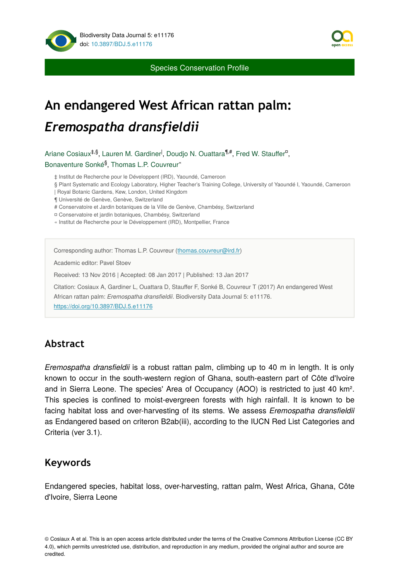

Species Conservation Profile

# **An endangered West African rattan palm:**  *Eremospatha dransfieldii*

Ariane Cosiaux<sup>‡,§</sup>, Lauren M. Gardiner<sup>l</sup>, Doudjo N. Ouattara<sup>¶,#</sup>, Fred W. Stauffer<sup>¤</sup>, Bonaventure Sonké<sup>§</sup>, Thomas L.P. Couvreur"

‡ Institut de Recherche pour le Développent (IRD), Yaoundé, Cameroon

§ Plant Systematic and Ecology Laboratory, Higher Teacher's Training College, University of Yaoundé I, Yaoundé, Cameroon

| Royal Botanic Gardens, Kew, London, United Kingdom

¶ Université de Genève, Genève, Switzerland

# Conservatoire et Jardin botaniques de la Ville de Genève, Chambésy, Switzerland

¤ Conservatoire et jardin botaniques, Chambésy, Switzerland

« Institut de Recherche pour le Développement (IRD), Montpellier, France

Corresponding author: Thomas L.P. Couvreur ([thomas.couvreur@ird.fr\)](mailto:thomas.couvreur@ird.fr)

Academic editor: Pavel Stoev

Received: 13 Nov 2016 | Accepted: 08 Jan 2017 | Published: 13 Jan 2017

Citation: Cosiaux A, Gardiner L, Ouattara D, Stauffer F, Sonké B, Couvreur T (2017) An endangered West African rattan palm: *Eremospatha dransfieldii*. Biodiversity Data Journal 5: e11176. <https://doi.org/10.3897/BDJ.5.e11176>

# **Abstract**

*Eremospatha dransfieldii* is a robust rattan palm, climbing up to 40 m in length. It is only known to occur in the south-western region of Ghana, south-eastern part of Côte d'Ivoire and in Sierra Leone. The species' Area of Occupancy (AOO) is restricted to just 40 km². This species is confined to moist-evergreen forests with high rainfall. It is known to be facing habitat loss and over-harvesting of its stems. We assess *Eremospatha dransfieldii* as Endangered based on criteron B2ab(iii), according to the IUCN Red List Categories and Criteria (ver 3.1).

## **Keywords**

Endangered species, habitat loss, over-harvesting, rattan palm, West Africa, Ghana, Côte d'Ivoire, Sierra Leone

© Cosiaux A et al. This is an open access article distributed under the terms of the Creative Commons Attribution License (CC BY 4.0), which permits unrestricted use, distribution, and reproduction in any medium, provided the original author and source are credited.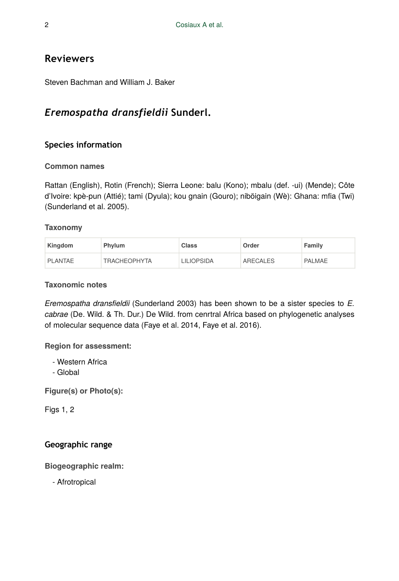# **Reviewers**

Steven Bachman and William J. Baker

# *Eremospatha dransfieldii* **Sunderl.**

## **Species information**

## **Common names**

Rattan (English), Rotin (French); Sierra Leone: balu (Kono); mbalu (def. -ui) (Mende); Côte d'Ivoire: kpè-pun (Attié); tami (Dyula); kou gnain (Gouro); niböigain (Wè): Ghana: mfia (Twi) (Sunderland et al. 2005).

## **Taxonomy**

| Kingdom | <b>Phylum</b>       | <b>Class</b>      | Order    | Family |
|---------|---------------------|-------------------|----------|--------|
| PLANTAE | <b>TRACHEOPHYTA</b> | <b>LILIOPSIDA</b> | ARECALES | PALMAE |

## **Taxonomic notes**

*Eremospatha dransfieldii* (Sunderland 2003) has been shown to be a sister species to *E. cabrae* (De. Wild. & Th. Dur.) De Wild. from cenrtral Africa based on phylogenetic analyses of molecular sequence data (Faye et al. 2014, Faye et al. 2016).

**Region for assessment:** 

- Western Africa
- Global

**Figure(s) or Photo(s):**

Figs 1, 2

## **Geographic range**

**Biogeographic realm:** 

- Afrotropical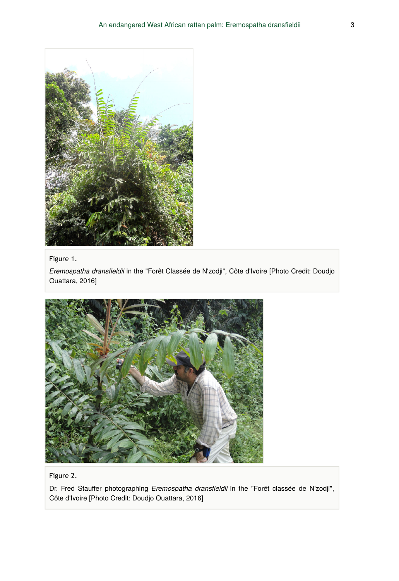

#### Figure 1.

*Eremospatha dransfieldii* in the "Forêt Classée de N'zodji", Côte d'Ivoire [Photo Credit: Doudjo Ouattara, 2016]



## Figure 2.

Dr. Fred Stauffer photographing *Eremospatha dransfieldii* in the "Forêt classée de N'zodji", Côte d'Ivoire [Photo Credit: Doudjo Ouattara, 2016]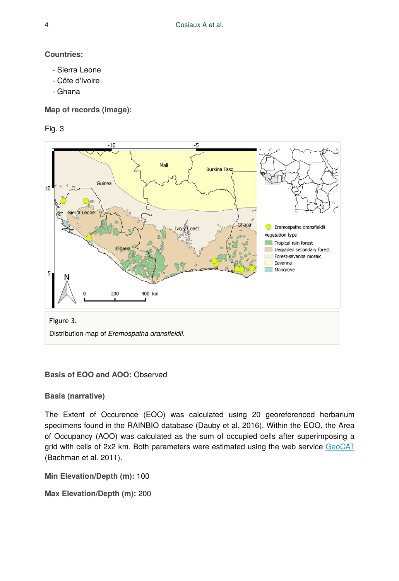**Countries:** 

- Sierra Leone
- Côte d'Ivoire
- Ghana

**Map of records (image):**

Fig. 3



#### **Basis of EOO and AOO: Observed**

**Basis (narrative)**

The Extent of Occurence (EOO) was calculated using 20 georeferenced herbarium specimens found in the RAINBIO database (Dauby et al. 2016). Within the EOO, the Area of Occupancy (AOO) was calculated as the sum of occupied cells after superimposing a grid with cells of 2x2 km. Both parameters were estimated using the web service [GeoCAT](http://geocat.kew.org/) (Bachman et al. 2011).

**Min Elevation/Depth (m):** 100

**Max Elevation/Depth (m):** 200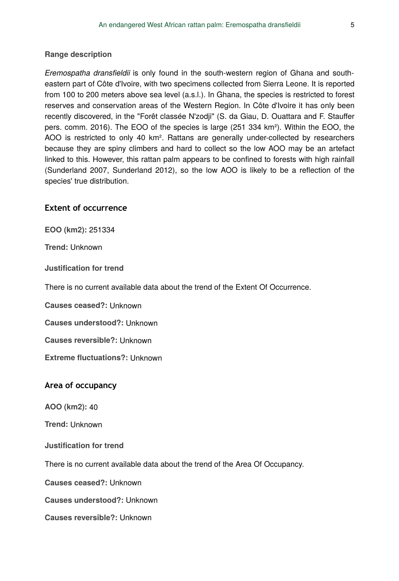#### **Range description**

*Eremospatha dransfieldii* is only found in the south-western region of Ghana and southeastern part of Côte d'Ivoire, with two specimens collected from Sierra Leone. It is reported from 100 to 200 meters above sea level (a.s.l.). In Ghana, the species is restricted to forest reserves and conservation areas of the Western Region. In Côte d'Ivoire it has only been recently discovered, in the "Forêt classée N'zodji" (S. da Giau, D. Ouattara and F. Stauffer pers. comm. 2016). The EOO of the species is large (251 334 km²). Within the EOO, the AOO is restricted to only 40 km<sup>2</sup>. Rattans are generally under-collected by researchers because they are spiny climbers and hard to collect so the low AOO may be an artefact linked to this. However, this rattan palm appears to be confined to forests with high rainfall (Sunderland 2007, Sunderland 2012), so the low AOO is likely to be a reflection of the species' true distribution.

#### **Extent of occurrence**

**EOO (km2):** 251 334

**Trend:** Unknown

**Justification for trend**

There is no current available data about the trend of the Extent Of Occurrence.

**Causes ceased?:** Unknown

**Causes understood?:** Unknown

**Causes reversible?:** Unknown

**Extreme fluctuations?:** Unknown

#### **Area of occupancy**

**AOO (km2):** 40

**Trend:** Unknown

**Justification for trend**

There is no current available data about the trend of the Area Of Occupancy.

**Causes ceased?:** Unknown

**Causes understood?:** Unknown

**Causes reversible?:** Unknown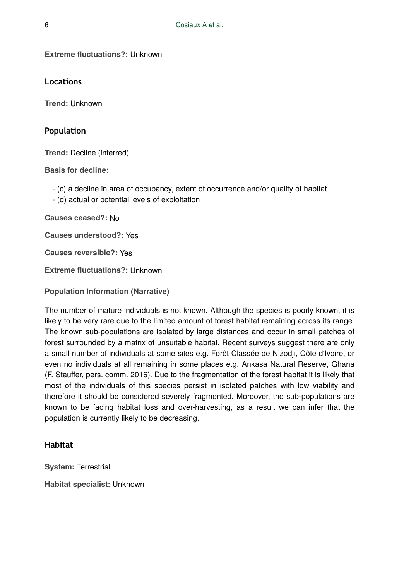**Extreme fluctuations?:** Unknown

**Locations**

**Trend:** Unknown

### **Population**

**Trend:** Decline (inferred)

**Basis for decline:**

- (c) a decline in area of occupancy, extent of occurrence and/or quality of habitat
- (d) actual or potential levels of exploitation

**Causes ceased?:** No

**Causes understood?:** Yes

**Causes reversible?:** Yes

**Extreme fluctuations?:** Unknown

**Population Information (Narrative)**

The number of mature individuals is not known. Although the species is poorly known, it is likely to be very rare due to the limited amount of forest habitat remaining across its range. The known sub-populations are isolated by large distances and occur in small patches of forest surrounded by a matrix of unsuitable habitat. Recent surveys suggest there are only a small number of individuals at some sites e.g. Forêt Classée de N'zodji, Côte d'Ivoire, or even no individuals at all remaining in some places e.g. Ankasa Natural Reserve, Ghana (F. Stauffer, pers. comm. 2016). Due to the fragmentation of the forest habitat it is likely that most of the individuals of this species persist in isolated patches with low viability and therefore it should be considered severely fragmented. Moreover, the sub-populations are known to be facing habitat loss and over-harvesting, as a result we can infer that the population is currently likely to be decreasing.

## **Habitat**

**System:** Terrestrial

**Habitat specialist:** Unknown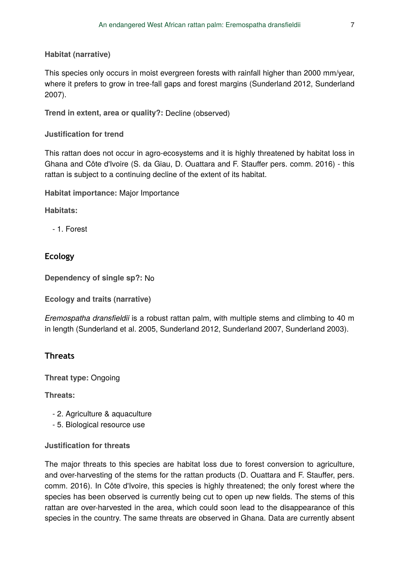**Habitat (narrative)**

This species only occurs in moist evergreen forests with rainfall higher than 2000 mm/year, where it prefers to grow in tree-fall gaps and forest margins (Sunderland 2012, Sunderland 2007).

Trend in extent, area or quality?: Decline (observed)

**Justification for trend**

This rattan does not occur in agro-ecosystems and it is highly threatened by habitat loss in Ghana and Côte d'Ivoire (S. da Giau, D. Ouattara and F. Stauffer pers. comm. 2016) - this rattan is subject to a continuing decline of the extent of its habitat.

**Habitat importance:** Major Importance

**Habitats:**

- 1. Forest

## **Ecology**

**Dependency of single sp?:** No

**Ecology and traits (narrative)**

*Eremospatha dransfieldii* is a robust rattan palm, with multiple stems and climbing to 40 m in length (Sunderland et al. 2005, Sunderland 2012, Sunderland 2007, Sunderland 2003).

## **Threats**

**Threat type:** Ongoing

**Threats:**

- 2. Agriculture & aquaculture
- 5. Biological resource use

**Justification for threats**

The major threats to this species are habitat loss due to forest conversion to agriculture, and over-harvesting of the stems for the rattan products (D. Ouattara and F. Stauffer, pers. comm. 2016). In Côte d'Ivoire, this species is highly threatened; the only forest where the species has been observed is currently being cut to open up new fields. The stems of this rattan are over-harvested in the area, which could soon lead to the disappearance of this species in the country. The same threats are observed in Ghana. Data are currently absent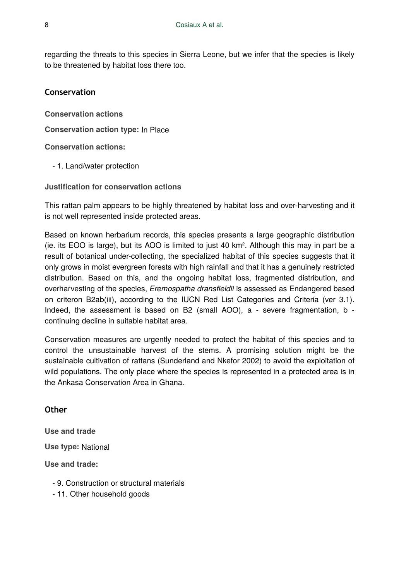regarding the threats to this species in Sierra Leone, but we infer that the species is likely to be threatened by habitat loss there too.

#### **Conservation**

**Conservation actions**

**Conservation action type:** In Place

**Conservation actions:**

- 1. Land/water protection

**Justification for conservation actions**

This rattan palm appears to be highly threatened by habitat loss and over-harvesting and it is not well represented inside protected areas.

Based on known herbarium records, this species presents a large geographic distribution (ie. its EOO is large), but its AOO is limited to just 40 km². Although this may in part be a result of botanical under-collecting, the specialized habitat of this species suggests that it only grows in moist evergreen forests with high rainfall and that it has a genuinely restricted distribution. Based on this, and the ongoing habitat loss, fragmented distribution, and overharvesting of the species, *Eremospatha dransfieldii* is assessed as Endangered based on criteron B2ab(iii), according to the IUCN Red List Categories and Criteria (ver 3.1). Indeed, the assessment is based on B2 (small AOO), a - severe fragmentation, b continuing decline in suitable habitat area.

Conservation measures are urgently needed to protect the habitat of this species and to control the unsustainable harvest of the stems. A promising solution might be the sustainable cultivation of rattans (Sunderland and Nkefor 2002) to avoid the exploitation of wild populations. The only place where the species is represented in a protected area is in the Ankasa Conservation Area in Ghana.

## **Other**

**Use type:** National **Use and trade**

**Use and trade:**

- 9. Construction or structural materials
- 11. Other household goods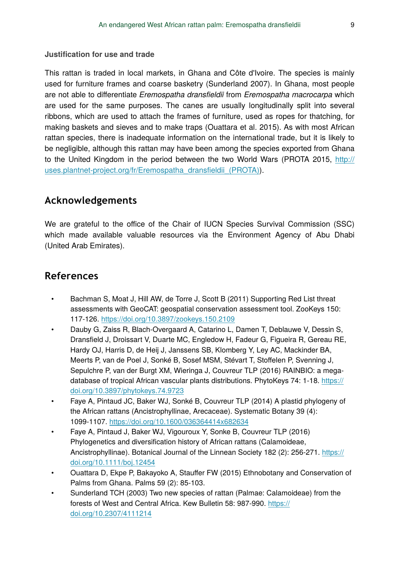**Justification for use and trade**

This rattan is traded in local markets, in Ghana and Côte d'Ivoire. The species is mainly used for furniture frames and coarse basketry (Sunderland 2007). In Ghana, most people are not able to differentiate *Eremospatha dransfieldii* from *Eremospatha macrocarpa* which are used for the same purposes. The canes are usually longitudinally split into several ribbons, which are used to attach the frames of furniture, used as ropes for thatching, for making baskets and sieves and to make traps (Ouattara et al. 2015). As with most African rattan species, there is inadequate information on the international trade, but it is likely to be negligible, although this rattan may have been among the species exported from Ghana to the United Kingdom in the period between the two World Wars (PROTA 2015, [http://](http://uses.plantnet-project.org/fr/Eremospatha_dransfieldii_(PROTA)) [uses.plantnet-project.org/fr/Eremospatha\\_drans](http://uses.plantnet-project.org/fr/Eremospatha_dransfieldii_(PROTA))fieldii\_(PROTA)).

# **Acknowledgements**

We are grateful to the office of the Chair of IUCN Species Survival Commission (SSC) which made available valuable resources via the Environment Agency of Abu Dhabi (United Arab Emirates).

# **References**

- Bachman S, Moat J, Hill AW, de Torre J, Scott B (2011) Supporting Red List threat assessments with GeoCAT: geospatial conservation assessment tool. ZooKeys 150: 117‑126. <https://doi.org/10.3897/zookeys.150.2109>
- Dauby G, Zaiss R, Blach-Overgaard A, Catarino L, Damen T, Deblauwe V, Dessin S, Dransfield J, Droissart V, Duarte MC, Engledow H, Fadeur G, Figueira R, Gereau RE, Hardy OJ, Harris D, de Heij J, Janssens SB, Klomberg Y, Ley AC, Mackinder BA, Meerts P, van de Poel J, Sonké B, Sosef MSM, Stévart T, Stoffelen P, Svenning J, Sepulchre P, van der Burgt XM, Wieringa J, Couvreur TLP (2016) RAINBIO: a megadatabase of tropical African vascular plants distributions. PhytoKeys 74: 1-18. [https://](https://doi.org/10.3897/phytokeys.74.9723) [doi.org/10.3897/phytokeys.74.9723](https://doi.org/10.3897/phytokeys.74.9723)
- Faye A, Pintaud JC, Baker WJ, Sonké B, Couvreur TLP (2014) A plastid phylogeny of the African rattans (Ancistrophyllinae, Arecaceae). Systematic Botany 39 (4): 1099‑1107.<https://doi.org/10.1600/036364414x682634>
- Faye A, Pintaud J, Baker WJ, Vigouroux Y, Sonke B, Couvreur TLP (2016) Phylogenetics and diversification history of African rattans (Calamoideae, Ancistrophyllinae). Botanical Journal of the Linnean Society 182 (2): 256-271. [https://](https://doi.org/10.1111/boj.12454) [doi.org/10.1111/boj.12454](https://doi.org/10.1111/boj.12454)
- Ouattara D, Ekpe P, Bakayoko A, Stauffer FW (2015) Ethnobotany and Conservation of Palms from Ghana. Palms 59 (2): 85‑103.
- Sunderland TCH (2003) Two new species of rattan (Palmae: Calamoideae) from the forests of West and Central Africa. Kew Bulletin 58: 987-990. [https://](https://doi.org/10.2307/4111214) [doi.org/10.2307/4111214](https://doi.org/10.2307/4111214)